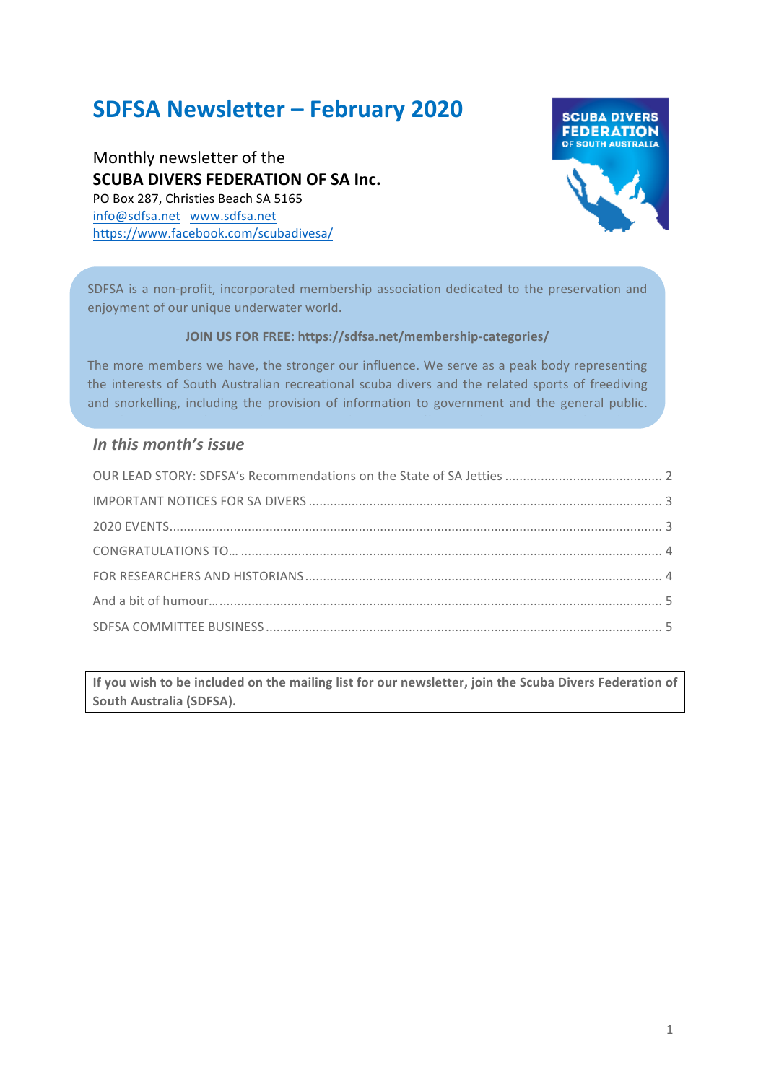# **SDFSA Newsletter – February 2020**

Monthly newsletter of the **SCUBA DIVERS FEDERATION OF SA Inc.** PO Box 287, Christies Beach SA 5165 info@sdfsa.net www.sdfsa.net https://www.facebook.com/scubadivesa/



SDFSA is a non-profit, incorporated membership association dedicated to the preservation and enjoyment of our unique underwater world.

#### **JOIN US FOR FREE: https://sdfsa.net/membership-categories/**

The more members we have, the stronger our influence. We serve as a peak body representing the interests of South Australian recreational scuba divers and the related sports of freediving and snorkelling, including the provision of information to government and the general public.

To gether we can can be calculated the  $\alpha$  in the  $\alpha$  -subset of  $\alpha$ 

#### In this month's *issue*

If you wish to be included on the mailing list for our newsletter, join the Scuba Divers Federation of **South Australia (SDFSA).**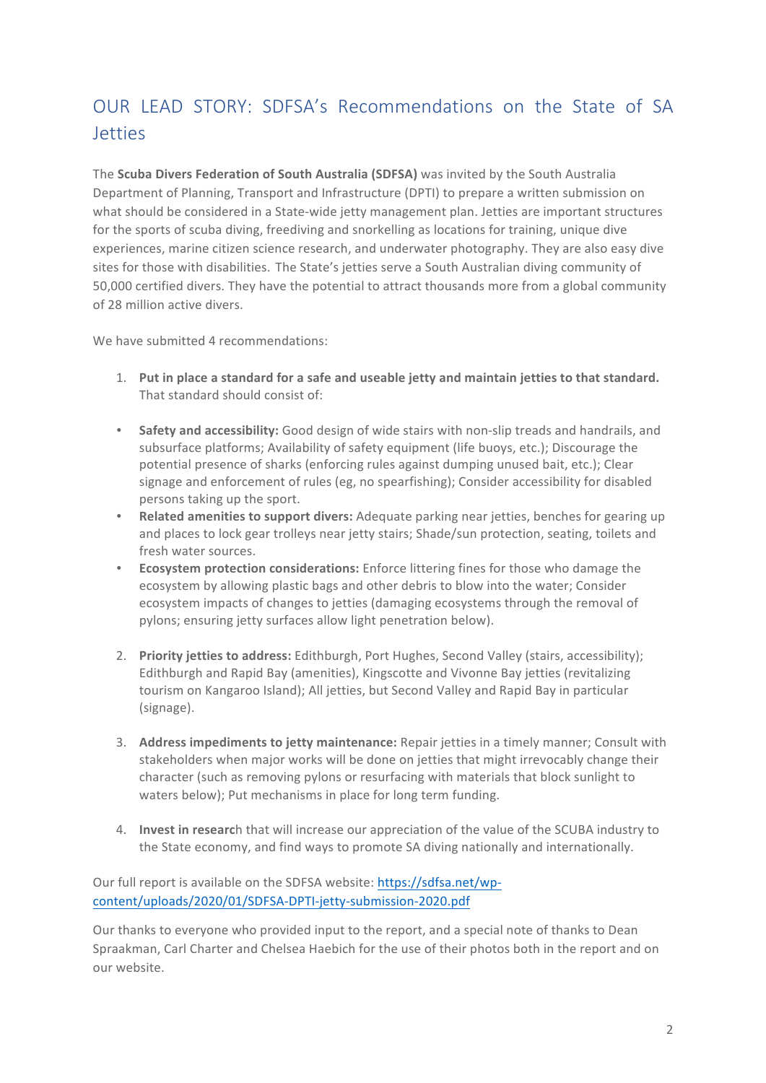# OUR LEAD STORY: SDFSA's Recommendations on the State of SA **Jetties**

The **Scuba Divers Federation of South Australia (SDFSA)** was invited by the South Australia Department of Planning, Transport and Infrastructure (DPTI) to prepare a written submission on what should be considered in a State-wide jetty management plan. Jetties are important structures for the sports of scuba diving, freediving and snorkelling as locations for training, unique dive experiences, marine citizen science research, and underwater photography. They are also easy dive sites for those with disabilities. The State's jetties serve a South Australian diving community of 50,000 certified divers. They have the potential to attract thousands more from a global community of 28 million active divers.

We have submitted 4 recommendations:

- 1. Put in place a standard for a safe and useable jetty and maintain jetties to that standard. That standard should consist of:
- Safety and accessibility: Good design of wide stairs with non-slip treads and handrails, and subsurface platforms; Availability of safety equipment (life buoys, etc.); Discourage the potential presence of sharks (enforcing rules against dumping unused bait, etc.); Clear signage and enforcement of rules (eg, no spearfishing); Consider accessibility for disabled persons taking up the sport.
- **Related amenities to support divers:** Adequate parking near jetties, benches for gearing up and places to lock gear trolleys near jetty stairs; Shade/sun protection, seating, toilets and fresh water sources.
- **Ecosystem protection considerations:** Enforce littering fines for those who damage the ecosystem by allowing plastic bags and other debris to blow into the water; Consider ecosystem impacts of changes to jetties (damaging ecosystems through the removal of pylons; ensuring jetty surfaces allow light penetration below).
- 2. **Priority ietties to address:** Edithburgh, Port Hughes, Second Valley (stairs, accessibility); Edithburgh and Rapid Bay (amenities), Kingscotte and Vivonne Bay jetties (revitalizing tourism on Kangaroo Island); All jetties, but Second Valley and Rapid Bay in particular (signage).
- 3. **Address impediments to jetty maintenance:** Repair jetties in a timely manner; Consult with stakeholders when major works will be done on jetties that might irrevocably change their character (such as removing pylons or resurfacing with materials that block sunlight to waters below); Put mechanisms in place for long term funding.
- 4. **Invest in researc**h that will increase our appreciation of the value of the SCUBA industry to the State economy, and find ways to promote SA diving nationally and internationally.

Our full report is available on the SDFSA website: https://sdfsa.net/wpcontent/uploads/2020/01/SDFSA-DPTI-jetty-submission-2020.pdf

Our thanks to everyone who provided input to the report, and a special note of thanks to Dean Spraakman, Carl Charter and Chelsea Haebich for the use of their photos both in the report and on our website.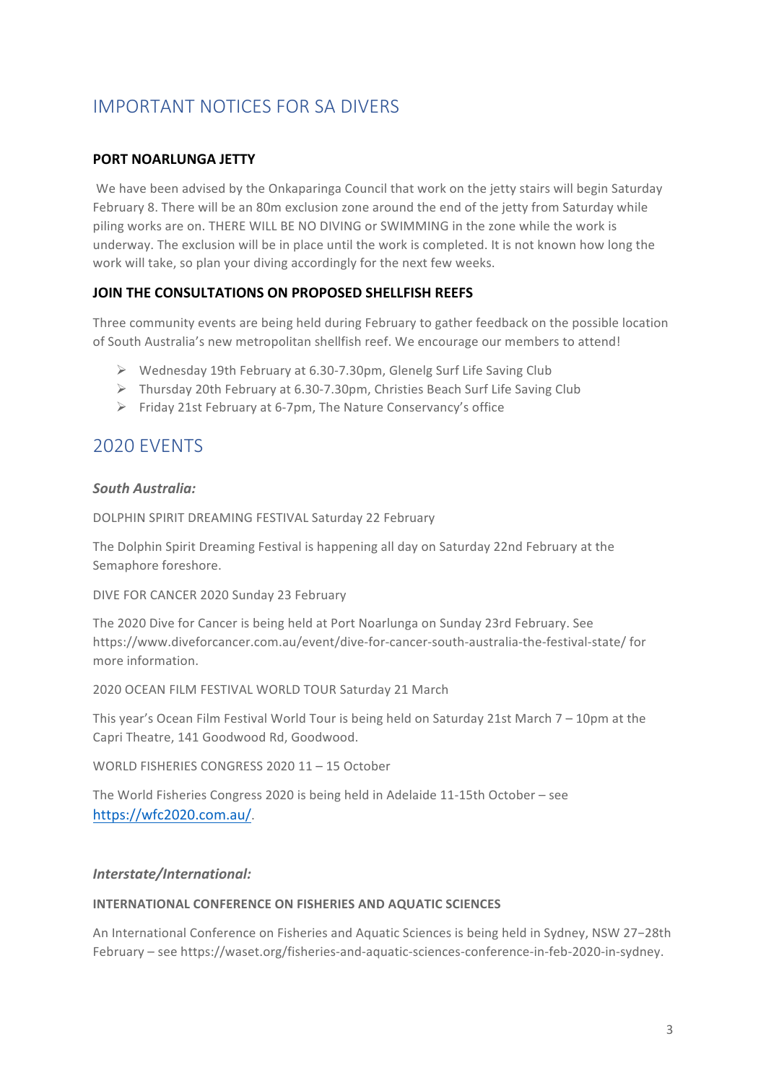# IMPORTANT NOTICES FOR SA DIVERS

#### **PORT NOARLUNGA JETTY**

We have been advised by the Onkaparinga Council that work on the jetty stairs will begin Saturday February 8. There will be an 80m exclusion zone around the end of the jetty from Saturday while piling works are on. THERE WILL BE NO DIVING or SWIMMING in the zone while the work is underway. The exclusion will be in place until the work is completed. It is not known how long the work will take, so plan your diving accordingly for the next few weeks.

#### **JOIN THE CONSULTATIONS ON PROPOSED SHELLFISH REFFS**

Three community events are being held during February to gather feedback on the possible location of South Australia's new metropolitan shellfish reef. We encourage our members to attend!

- $\triangleright$  Wednesday 19th February at 6.30-7.30pm, Glenelg Surf Life Saving Club
- $\triangleright$  Thursday 20th February at 6.30-7.30pm, Christies Beach Surf Life Saving Club
- $\triangleright$  Friday 21st February at 6-7pm. The Nature Conservancy's office

# 2020 EVENTS

#### *South Australia:*

DOLPHIN SPIRIT DREAMING FESTIVAL Saturday 22 February

The Dolphin Spirit Dreaming Festival is happening all day on Saturday 22nd February at the Semaphore foreshore.

DIVE FOR CANCER 2020 Sunday 23 February

The 2020 Dive for Cancer is being held at Port Noarlunga on Sunday 23rd February. See https://www.diveforcancer.com.au/event/dive-for-cancer-south-australia-the-festival-state/ for more information.

2020 OCEAN FILM FESTIVAL WORLD TOUR Saturday 21 March

This year's Ocean Film Festival World Tour is being held on Saturday 21st March  $7 - 10$ pm at the Capri Theatre, 141 Goodwood Rd, Goodwood.

WORLD FISHERIES CONGRESS 2020 11 - 15 October

The World Fisheries Congress 2020 is being held in Adelaide  $11-15$ th October – see https://wfc2020.com.au/.

#### *Interstate/International:*

#### **INTERNATIONAL CONFERENCE ON FISHERIES AND AQUATIC SCIENCES**

An International Conference on Fisheries and Aquatic Sciences is being held in Sydney, NSW 27-28th February – see https://waset.org/fisheries-and-aquatic-sciences-conference-in-feb-2020-in-sydney.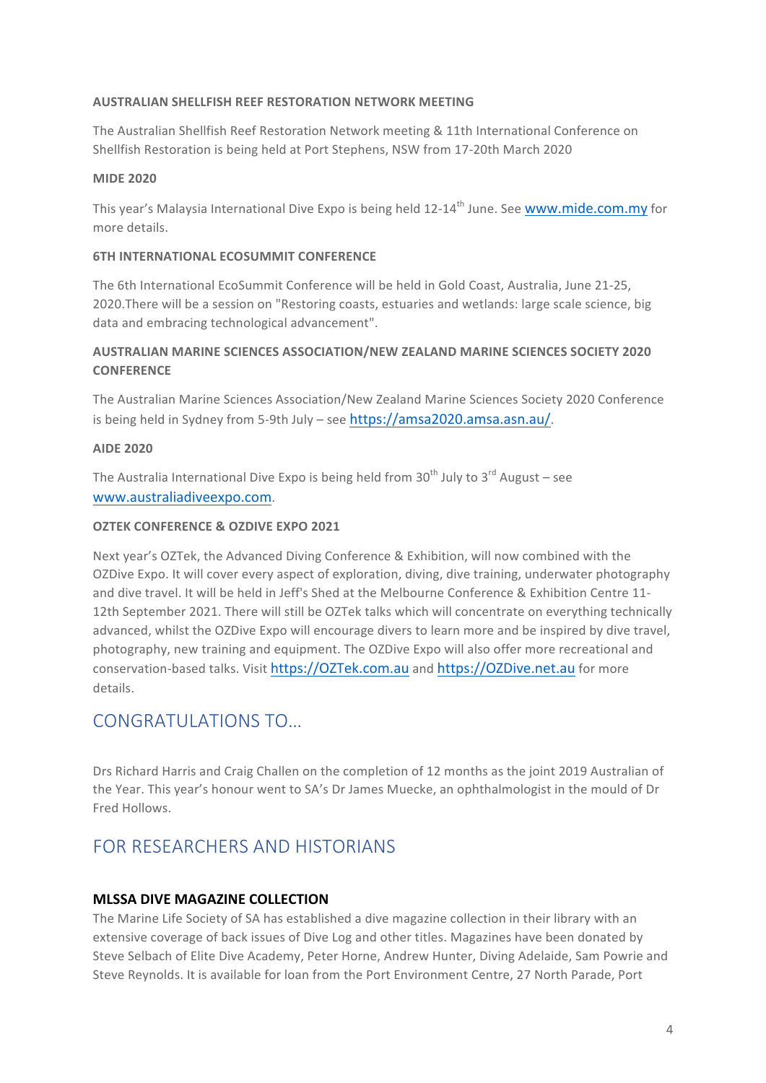#### **AUSTRALIAN SHELLFISH REEF RESTORATION NETWORK MEETING**

The Australian Shellfish Reef Restoration Network meeting & 11th International Conference on Shellfish Restoration is being held at Port Stephens, NSW from 17-20th March 2020

#### **MIDE 2020**

This year's Malaysia International Dive Expo is being held 12-14<sup>th</sup> June. See www.mide.com.my for more details.

#### **6TH INTERNATIONAL ECOSUMMIT CONFERENCE**

The 6th International EcoSummit Conference will be held in Gold Coast, Australia, June 21-25, 2020.There will be a session on "Restoring coasts, estuaries and wetlands: large scale science, big data and embracing technological advancement".

#### AUSTRALIAN MARINE SCIENCES ASSOCIATION/NEW ZEALAND MARINE SCIENCES SOCIETY 2020 **CONFERENCE**

The Australian Marine Sciences Association/New Zealand Marine Sciences Society 2020 Conference is being held in Sydney from 5-9th July - see https://amsa2020.amsa.asn.au/.

#### **AIDE 2020**

The Australia International Dive Expo is being held from  $30<sup>th</sup>$  July to  $3<sup>rd</sup>$  August – see www.australiadiveexpo.com.

#### **OZTEK CONFERENCE & OZDIVE EXPO 2021**

Next year's OZTek, the Advanced Diving Conference & Exhibition, will now combined with the OZDive Expo. It will cover every aspect of exploration, diving, dive training, underwater photography and dive travel. It will be held in Jeff's Shed at the Melbourne Conference & Exhibition Centre 11-12th September 2021. There will still be OZTek talks which will concentrate on everything technically advanced, whilst the OZDive Expo will encourage divers to learn more and be inspired by dive travel, photography, new training and equipment. The OZDive Expo will also offer more recreational and conservation-based talks. Visit https://OZTek.com.au and https://OZDive.net.au for more details.

### CONGRATULATIONS TO…

Drs Richard Harris and Craig Challen on the completion of 12 months as the joint 2019 Australian of the Year. This year's honour went to SA's Dr James Muecke, an ophthalmologist in the mould of Dr Fred Hollows.

# FOR RESEARCHERS AND HISTORIANS

#### **MLSSA DIVE MAGAZINE COLLECTION**

The Marine Life Society of SA has established a dive magazine collection in their library with an extensive coverage of back issues of Dive Log and other titles. Magazines have been donated by Steve Selbach of Elite Dive Academy, Peter Horne, Andrew Hunter, Diving Adelaide, Sam Powrie and Steve Reynolds. It is available for loan from the Port Environment Centre, 27 North Parade, Port